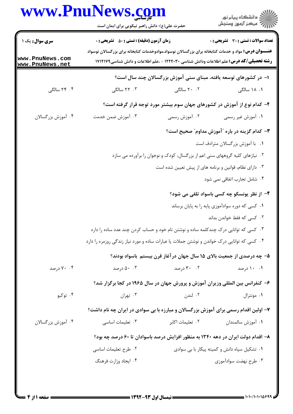|                                    | www.PnuNews.com                                                                                            |                                                                                               | ڪ دانشڪاه پيا <sub>م</sub> نور<br>∕ <sup>7</sup> مرڪز آزمون وسنڊش |
|------------------------------------|------------------------------------------------------------------------------------------------------------|-----------------------------------------------------------------------------------------------|-------------------------------------------------------------------|
|                                    | حضرت علی(ع): دانش راهبر نیکویی برای ایمان است                                                              |                                                                                               |                                                                   |
| <b>سری سوال :</b> یک ۱             | <b>زمان آزمون (دقیقه) : تستی : 50 ٪ تشریحی : 0</b>                                                         |                                                                                               | تعداد سوالات : تستي : 30 ٪ تشريحي : 0                             |
| www.PnuNews.com<br>www.PnuNews.net | <b>عنـــوان درس:</b> مواد و خدمات کتابخانه برای بزرگسالان نوسواد،موادوخدمات کتابخانه برای بزرگسالان نوسواد | <b>رشته تحصیلی/کد درس:</b> علم اطلاعات ودانش شناسی ۱۲۲۴۰۳۰ - ،علم اطلاعات و دانش شناسی۱۷۱۲۱۷۹ |                                                                   |
|                                    |                                                                                                            | ۱– در کشورهای توسعه یافته، مبنای سنی آموزش بزرگسالان چند سال است؟                             |                                                                   |
| ۴. ۲۴ سالگی                        | ۰۳ سالگی                                                                                                   | ۲۰ .۲۰ سالگی                                                                                  | ۰۱ ۱۸ سالگی                                                       |
|                                    |                                                                                                            | ۲- کدام نوع از آموزش در کشورهای جهان سوم بیشتر مورد توجه قرار گرفته است؟                      |                                                                   |
| ۰۴ آموزش بزرگسالان                 | ۰۳ آموزش ضمن خدمت                                                                                          | ۰۲ آموزش رسمی                                                                                 | ۰۱ آموزش غیر رسمی                                                 |
|                                    |                                                                                                            |                                                                                               | ۳- کدام گزینه در باره "آموزش مداوم" صحیح است؟                     |
|                                    |                                                                                                            |                                                                                               | ٠١ با آموزش بزرگسالان مترادف است                                  |
|                                    |                                                                                                            | ۰۲ نیازهای کلیه گروههای سنی اعم از بزرگسال، کودک و نوجوان را برآورده می سازد                  |                                                                   |
|                                    |                                                                                                            | ۰۳ دارای نظام، قوانین و برنامه های از پیش تعیین شده است                                       |                                                                   |
|                                    |                                                                                                            |                                                                                               | ۰۴ شامل تجارب اتفاقی نمی شود                                      |
|                                    |                                                                                                            |                                                                                               | ۴– از نظر یونسکو چه کسی باسواد تلقی می شود؟                       |
|                                    |                                                                                                            |                                                                                               | ۰۱ کسی که دوره سوادآموزی پایه را به پایان برساند                  |
|                                    |                                                                                                            |                                                                                               | ۰۲ کسی که فقط خواندن بداند                                        |
|                                    | ۰۳ کسی که توانایی درک چندکلمه ساده و نوشتن نام خود و حساب کردن چند عدد ساده را دارد                        |                                                                                               |                                                                   |
|                                    | ۰۴ کسی که توانایی درک خواندن و نوشتن جملات یا عبارات ساده و مورد نیاز زندگی روزمره را دارد                 |                                                                                               |                                                                   |
|                                    |                                                                                                            | ۵– چه درصدی از جمعیت بالای ۱۵ سال جهان در آغاز قرن بیستم باسواد بودند؟                        |                                                                   |
| ۰۴ درصد                            | ۰۰ ۵۰ درصد                                                                                                 | ۰۲ درصد                                                                                       | ۰۱ ۱۰ درصد                                                        |
|                                    |                                                                                                            | ۶- کنفرانس بین المللی وزیران آموزش و پرورش جهان در سال ۱۹۶۵ در کجا برگزار شد؟                 |                                                                   |
| ۰۴ توکیو                           | ۰۳ تهران                                                                                                   | ۰۲ لندن                                                                                       | ۰۱ مونترال                                                        |
|                                    | ۷- اولین اقدام رسمی برای آموزش بزرگسالان و مبارزه با بی سوادی در ایران چه نام داشت؟                        |                                                                                               |                                                                   |
| ۰۴ آموزش بزرگسالان                 | ۰۳ تعلیمات اساسی                                                                                           | ۰۲ تعلیمات اکابر                                                                              | ٠١ آموزش سالمندان                                                 |
|                                    | ۸– اقدام دولت ایران در دهه ۱۳۴۰ به منظور افزایش درصد باسوادان تا ۶۰ درصد چه بود؟                           |                                                                                               |                                                                   |
|                                    | ۰۲ طرح تعلیمات اساسی                                                                                       |                                                                                               | ۰۱ تشکیل سپاه دانش و کمیته پیکار با بی سوادی                      |
|                                    | ۰۴ ایجاد وزارت فرهنگ                                                                                       |                                                                                               | ۰۳ طرح نهضت سوادآموزی                                             |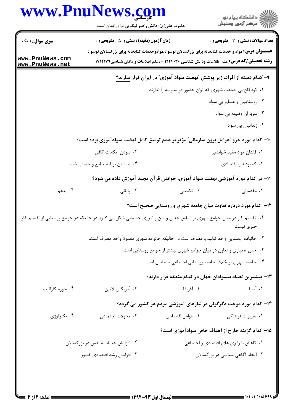|                                                              | www.PnuNews.com<br>حضرت علی(ع): دانش راهبر نیکویی برای ایمان است                                                    |                                                                                                                                                                                                             | ِ<br>∭ دانشڪاه پيام نور<br>∭ مرڪز آزمون وسنڊش   |
|--------------------------------------------------------------|---------------------------------------------------------------------------------------------------------------------|-------------------------------------------------------------------------------------------------------------------------------------------------------------------------------------------------------------|-------------------------------------------------|
| <b>سری سوال : ۱ یک</b><br>www.PnuNews.com<br>www.PnuNews.net | <b>زمان آزمون (دقیقه) : تستی : 50 ٪ تشریحی : 0</b>                                                                  | <b>عنـــوان درس:</b> مواد و خدمات کتابخانه برای بزرگسالان نوسواد،موادوخدمات کتابخانه برای بزرگسالان نوسواد<br><b>رشته تحصیلی/کد درس:</b> علم اطلاعات ودانش شناسی ۱۲۲۴۰۳۰ - ،علم اطلاعات و دانش شناسی۱۷۱۲۱۷۹ | <b>تعداد سوالات : تستی : 30 ٪ تشریحی : 0</b>    |
|                                                              |                                                                                                                     | ۹– کدام دسته از افراد، زیر پوشش "نهضت سواد آموزی <sup>"</sup> در ایران قرار <u>ندارند؟</u>                                                                                                                  |                                                 |
|                                                              |                                                                                                                     | ۰۱ کودکان بی بضاعت شهری که توان حضور در مدرسه را ندارند                                                                                                                                                     |                                                 |
|                                                              |                                                                                                                     |                                                                                                                                                                                                             | ۰۲ روستاییان و عشایر بی سواد                    |
|                                                              |                                                                                                                     |                                                                                                                                                                                                             | ۰۳ سربازان وظیفه بی سواد                        |
|                                                              |                                                                                                                     |                                                                                                                                                                                                             | ۰۴ زندانیان بی سواد                             |
|                                                              | ۱۰- کدام مورد جزو "عوامل برون سازمانی" مؤثر بر عدم توفیق کامل نهضت سوادآموزی بوده است؟                              |                                                                                                                                                                                                             |                                                 |
|                                                              | ۰۲ نبودن امکانات کافی                                                                                               |                                                                                                                                                                                                             | ۰۱ فقدان مواد مفید خواندنی                      |
|                                                              | ۰۴ نداشتن برنامه جامع و حساب شده                                                                                    |                                                                                                                                                                                                             | ۰۳ کمبودهای اقتصادی                             |
|                                                              |                                                                                                                     | 1۱– در کدام دوره آموزشی نهضت سواد آموزی، خواندن قرآن مجید آموزش داده می شود؟                                                                                                                                |                                                 |
| ۰۴ پنجم                                                      | ۰۳ پایانی $\cdot$                                                                                                   | ۰۲ تکمیلی                                                                                                                                                                                                   | ۰۱ مقدماتی                                      |
|                                                              |                                                                                                                     | <b>۱۲</b> - کدام مورد درباره تفاوت میان جامعه شهری و روستایی صحیح است؟                                                                                                                                      |                                                 |
|                                                              | ۰۱ تقسیم کار در میان جوامع شهری بر اساس جنس و سن و نیروی جسمانی شکل می گیرد در حالیکه در جوامع روستایی از تقسیم کار |                                                                                                                                                                                                             | خبري نيست.                                      |
|                                                              |                                                                                                                     | ۰۲ خانواده روستایی واحد تولید و مصرف است در حالیکه خانواده شهری معمولاً واحد مصرف است.                                                                                                                      |                                                 |
|                                                              |                                                                                                                     | ۰۳ حس همیاری و تعاون در میان جوامع شهری بیشتر از جوامع روستایی است.                                                                                                                                         |                                                 |
|                                                              |                                                                                                                     | ۰۴ جامعه شهری بر خلاف جامعه روستایی اجتماعی متجانس است.                                                                                                                                                     |                                                 |
|                                                              |                                                                                                                     | ۱۳- بیشترین تعداد بیسوادان جهان در کدام منطقه قرار دارند؟                                                                                                                                                   |                                                 |
| ۰۴ حوزه کارائیب                                              | ۰۳ آمریکای لاتین                                                                                                    | ۰۲ آفریقا                                                                                                                                                                                                   | ۰۱ آسیا                                         |
|                                                              |                                                                                                                     | ۱۴- کدام مورد موجب دگرگونی در نیازهای آموزشی مردم هر کشور می گردد؟                                                                                                                                          |                                                 |
| ۰۴ تکنولوژی                                                  | ۰۳ تحولات اجتماعی                                                                                                   | ٠٢ عوامل اقتصادي                                                                                                                                                                                            | ۰۱ تغییرات فرهنگی                               |
|                                                              |                                                                                                                     |                                                                                                                                                                                                             | ۱۵– کدام گزینه خارج از اهداف خاص سوادآموزی است؟ |
|                                                              | ۰۲ افزایش اعتماد به نفس در بزرگسالان                                                                                |                                                                                                                                                                                                             | ٠١. كاهش نابرابري هاي اقتصادي و اجتماعي         |
|                                                              | ۰۴ افزایش رشد اقتصادی کشور                                                                                          |                                                                                                                                                                                                             | ۰۳ ایجاد آگاهی سیاسی در بزرگسالان               |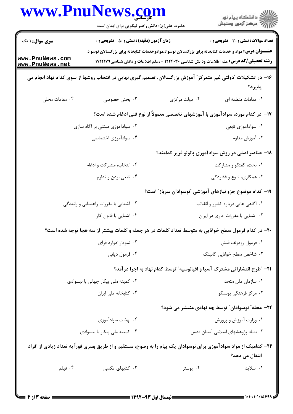|                                    | www.PnuNews.com<br>حضرت علی(ع): دانش راهبر نیکویی برای ایمان است                                                                                                                                            |                                                                                   | ≦ دانشڪاه پيام نور<br>ج‴ مرڪز آزمون وسنڊش    |
|------------------------------------|-------------------------------------------------------------------------------------------------------------------------------------------------------------------------------------------------------------|-----------------------------------------------------------------------------------|----------------------------------------------|
| <b>سری سوال : ۱ یک</b>             | <b>زمان آزمون (دقیقه) : تستی : 50 ٪ تشریحی : 0</b>                                                                                                                                                          |                                                                                   | <b>تعداد سوالات : تستی : 30 ٪ تشریحی : 0</b> |
| www.PnuNews.com<br>www.PnuNews.net | <b>عنـــوان درس:</b> مواد و خدمات کتابخانه برای بزرگسالان نوسواد،موادوخدمات کتابخانه برای بزرگسالان نوسواد<br><b>رشته تحصیلی/کد درس:</b> علم اطلاعات ودانش شناسی ۱۲۲۴۰۳۰ - ،علم اطلاعات و دانش شناسی۱۷۱۲۱۷۹ |                                                                                   |                                              |
|                                    | ۱۶– در تشکیلات "دولتی غیر متمرکز" آموزش بزرگسالان، تصمیم گیری نهایی در انتخاب روشها از سوی کدام نهاد انجام می                                                                                               |                                                                                   | پذيرد؟                                       |
| ۰۴ مقامات محلی                     | ۰۳ بخش خصوصی                                                                                                                                                                                                | ۰۲ دولت مرکزی                                                                     | ٠١. مقامات منطقه ای                          |
|                                    |                                                                                                                                                                                                             | ۱۷– در کدام مورد، سوادآموزی با آموزشهای تخصصی معمولاً از نوع فنی ادغام شده است؟   |                                              |
|                                    | ۰۲ سوادآموزی مبتنی بر آگاه سازی                                                                                                                                                                             |                                                                                   | ۰۱ سواداًموزی تابعی                          |
|                                    | ۰۴ سوادآموزی اختصاصی                                                                                                                                                                                        |                                                                                   | ۰۳ آموزش مداوم                               |
|                                    |                                                                                                                                                                                                             | ۱۸– عناصر اصلی در روش سوادآموزی پائولو فریر کدامند؟                               |                                              |
|                                    | ۰۲ انتخاب، مشارکت و ادغام                                                                                                                                                                                   |                                                                                   | ۰۱ بحث، گفتگو و مشاركت                       |
|                                    | ۰۴ تابعي بودن و تداوم                                                                                                                                                                                       |                                                                                   | ۰۳ همکاری، تنوع و فشردگی                     |
|                                    |                                                                                                                                                                                                             | ۱۹- کدام موضوع جزو نیازهای آموزشی "نوسوادان سرباز" است؟                           |                                              |
|                                    | ۰۲ آشنایی با مقررات راهنمایی و رانندگی                                                                                                                                                                      |                                                                                   | ۰۱ آگاهی هایی درباره کشور و انقلاب           |
|                                    | ۰۴ آشنایی با قانون کار                                                                                                                                                                                      |                                                                                   | ۰۳ آشنایی با مقررات اداری در ایران           |
|                                    | ۲۰- در کدام فرمول سطح خوانایی به متوسط تعداد کلمات در هر جمله و کلمات بیشتر از سه هجا توجه شده است؟                                                                                                         |                                                                                   |                                              |
|                                    | ۰۲ نمودار ادوارد فرای                                                                                                                                                                                       |                                                                                   | ٠١ فرمول رودولف فلش                          |
|                                    | ۰۴ فرمول دياني                                                                                                                                                                                              |                                                                                   | ۰۳ شاخص سطح خوانایی گانینگ                   |
|                                    |                                                                                                                                                                                                             | <b>۲۱</b> – ″طرح انتشاراتی مشترک آسیا و اقیانوسیه″ توسط کدام نهاد به اجرا در آمد؟ |                                              |
|                                    | ۰۲ کمیته ملی پیکار جهانی با بیسوادی                                                                                                                                                                         |                                                                                   | ٠١ سازمان ملل متحد                           |
|                                    | ۰۴ کتابخانه ملی ایران                                                                                                                                                                                       |                                                                                   | ۰۳ مرکز فرهنگی یونسکو                        |
|                                    |                                                                                                                                                                                                             | ۲۲– مجله" نوسوادان" توسط چه نهادی منتشر می شود؟                                   |                                              |
|                                    | ۰۲ نهضت سوادآموزی                                                                                                                                                                                           |                                                                                   | ۰۱ وزارت آموزش و پرورش                       |
|                                    | ۰۴ کمیته ملی پیکار با بیسوادی                                                                                                                                                                               |                                                                                   | ۰۳ بنیاد پژوهشهای اسلامی آستان قدس           |
|                                    | ۲۳– کدامیک از مواد سوادآموزی برای نوسوادان یک پیام را به وضوح، مستقیم و از طریق بصری فوراً به تعداد زیادی از افراد                                                                                          |                                                                                   | انتقال می دهد؟                               |
| ۰۴ فیلم                            | ۰۳ کتابهای عکسی                                                                                                                                                                                             | ۰۲ پوستر                                                                          | ٠١. اسلايد                                   |
|                                    |                                                                                                                                                                                                             |                                                                                   |                                              |